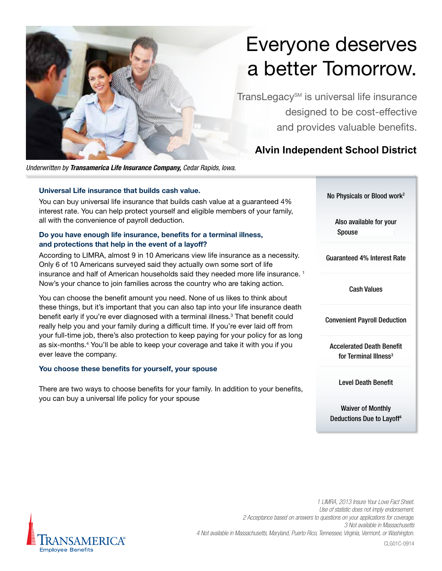

# Everyone deserves a better Tomorrow.

TransLegacy<sup>SM</sup> is universal life insurance designed to be cost-effective and provides valuable benefits.

# **Alvin Independent School District**

*Underwritten by Transamerica Life Insurance Company, Cedar Rapids, Iowa.*

# **Universal Life insurance that builds cash value.**

You can buy universal life insurance that builds cash value at a guaranteed 4% interest rate. You can help protect yourself and eligible members of your family, all with the convenience of payroll deduction.

# **Do you have enough life insurance, benefits for a terminal illness, and protections that help in the event of a layoff?**

According to LIMRA, almost 9 in 10 Americans view life insurance as a necessity. Only 6 of 10 Americans surveyed said they actually own some sort of life insurance and half of American households said they needed more life insurance.<sup>1</sup> Now's your chance to join families across the country who are taking action.

You can choose the benefit amount you need. None of us likes to think about these things, but it's important that you can also tap into your life insurance death benefit early if you're ever diagnosed with a terminal illness.<sup>3</sup> That benefit could really help you and your family during a difficult time. If you're ever laid off from your full-time job, there's also protection to keep paying for your policy for as long as six-months.4 You'll be able to keep your coverage and take it with you if you ever leave the company.

# You choose these benefits for yourself, your spouse

There are two ways to choose benefits for your family. In addition to your benefits, you can buy a universal life policy for your spouse

No Physicals or Blood work2 Also available for your Spouse Guaranteed 4% Interest Rate Cash Values Convenient Payroll Deduction Accelerated Death Benefit for Terminal Illness<sup>3</sup> Level Death Benefit

Waiver of Monthly Deductions Due to Layoff4



*1 LIMRA, 2013 Insure Your Love Fact Sheet. Use of statistic does not imply endorsement. 2 Acceptance based on answers to questions on your applications for coverage. 3 Not available in Massachusetts 4 Not available in Massachusetts, Maryland, Puerto Rico, Tennessee, Virginia, Vermont, or Washington.*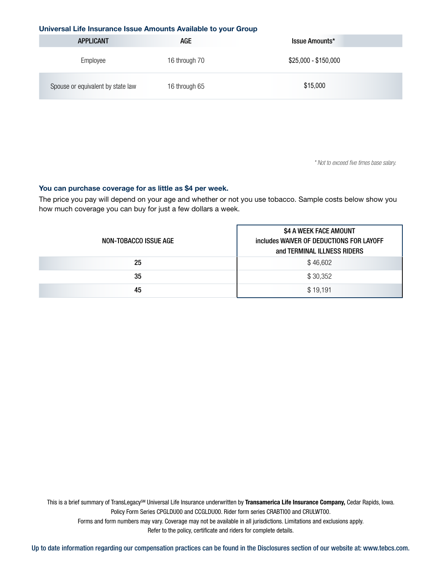#### **Universal Life Insurance Issue Amounts Available to your Group**

| <b>APPLICANT</b>                  | AGE           | Issue Amounts*       |
|-----------------------------------|---------------|----------------------|
| Employee                          | 16 through 70 | \$25,000 - \$150,000 |
| Spouse or equivalent by state law | 16 through 65 | \$15,000             |

#### **You can purchase coverage for as little as \$4 per week.**

| Employee                                                                                                                              | 16 through 70                                                     | \$25,000 - \$150,000                                                                                                                                                                                                                                                                                                                                                   |
|---------------------------------------------------------------------------------------------------------------------------------------|-------------------------------------------------------------------|------------------------------------------------------------------------------------------------------------------------------------------------------------------------------------------------------------------------------------------------------------------------------------------------------------------------------------------------------------------------|
| Spouse or equivalent by state law                                                                                                     | 16 through 65                                                     | \$15,000                                                                                                                                                                                                                                                                                                                                                               |
|                                                                                                                                       |                                                                   | * Not to exceed five times base salary.                                                                                                                                                                                                                                                                                                                                |
|                                                                                                                                       |                                                                   |                                                                                                                                                                                                                                                                                                                                                                        |
| You can purchase coverage for as little as \$4 per week.<br>how much coverage you can buy for just a few dollars a week.              |                                                                   | The price you pay will depend on your age and whether or not you use tobacco. Sample costs below show you                                                                                                                                                                                                                                                              |
| NON-TOBACCO ISSUE AGE                                                                                                                 |                                                                   | \$4 A WEEK FACE AMOUNT<br>includes WAIVER OF DEDUCTIONS FOR LAYOFF<br>and TERMINAL ILLNESS RIDERS                                                                                                                                                                                                                                                                      |
| 25                                                                                                                                    |                                                                   | \$46,602                                                                                                                                                                                                                                                                                                                                                               |
| 35                                                                                                                                    |                                                                   | \$30,352                                                                                                                                                                                                                                                                                                                                                               |
| 45                                                                                                                                    |                                                                   | \$19,191                                                                                                                                                                                                                                                                                                                                                               |
|                                                                                                                                       |                                                                   |                                                                                                                                                                                                                                                                                                                                                                        |
|                                                                                                                                       | Refer to the policy, certificate and riders for complete details. | This is a brief summary of TransLegacy <sup>SM</sup> Universal Life Insurance underwritten by Transamerica Life Insurance Company, Cedar Rapids, Iowa.<br>Policy Form Series CPGLDU00 and CCGLDU00. Rider form series CRABTI00 and CRULWT00.<br>Forms and form numbers may vary. Coverage may not be available in all jurisdictions. Limitations and exclusions apply. |
| Up to date information regarding our compensation practices can be found in the Disclosures section of our website at: www.tebcs.com. |                                                                   |                                                                                                                                                                                                                                                                                                                                                                        |